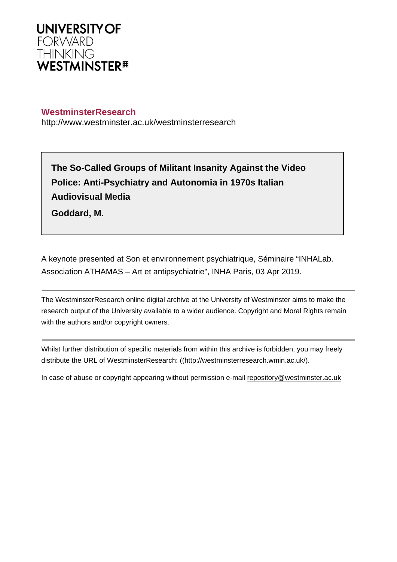

#### **WestminsterResearch**

http://www.westminster.ac.uk/westminsterresearch

**The So-Called Groups of Militant Insanity Against the Video Police: Anti-Psychiatry and Autonomia in 1970s Italian Audiovisual Media Goddard, M.**

A keynote presented at Son et environnement psychiatrique, Séminaire "INHALab. Association ATHAMAS – Art et antipsychiatrie", INHA Paris, 03 Apr 2019.

The WestminsterResearch online digital archive at the University of Westminster aims to make the research output of the University available to a wider audience. Copyright and Moral Rights remain with the authors and/or copyright owners.

Whilst further distribution of specific materials from within this archive is forbidden, you may freely distribute the URL of WestminsterResearch: [\(\(http://westminsterresearch.wmin.ac.uk/](http://westminsterresearch.wmin.ac.uk/)).

In case of abuse or copyright appearing without permission e-mail <repository@westminster.ac.uk>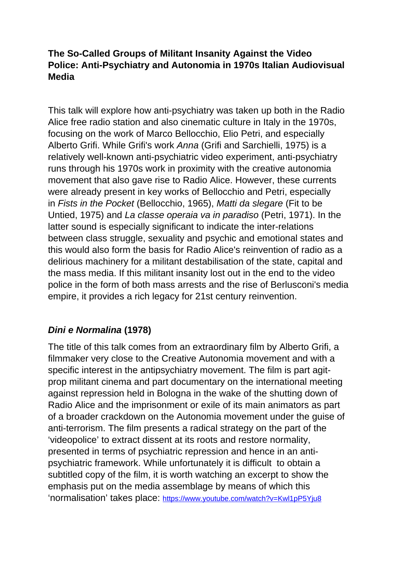### **The So-Called Groups of Militant Insanity Against the Video Police: Anti-Psychiatry and Autonomia in 1970s Italian Audiovisual Media**

This talk will explore how anti-psychiatry was taken up both in the Radio Alice free radio station and also cinematic culture in Italy in the 1970s, focusing on the work of Marco Bellocchio, Elio Petri, and especially Alberto Grifi. While Grifi's work *Anna* (Grifi and Sarchielli, 1975) is a relatively well-known anti-psychiatric video experiment, anti-psychiatry runs through his 1970s work in proximity with the creative autonomia movement that also gave rise to Radio Alice. However, these currents were already present in key works of Bellocchio and Petri, especially in *Fists in the Pocket* (Bellocchio, 1965), *Matti da slegare* (Fit to be Untied, 1975) and *La classe operaia va in paradiso* (Petri, 1971). In the latter sound is especially significant to indicate the inter-relations between class struggle, sexuality and psychic and emotional states and this would also form the basis for Radio Alice's reinvention of radio as a delirious machinery for a militant destabilisation of the state, capital and the mass media. If this militant insanity lost out in the end to the video police in the form of both mass arrests and the rise of Berlusconi's media empire, it provides a rich legacy for 21st century reinvention.

# *Dini e Normalina* **(1978)**

The title of this talk comes from an extraordinary film by Alberto Grifi, a filmmaker very close to the Creative Autonomia movement and with a specific interest in the antipsychiatry movement. The film is part agitprop militant cinema and part documentary on the international meeting against repression held in Bologna in the wake of the shutting down of Radio Alice and the imprisonment or exile of its main animators as part of a broader crackdown on the Autonomia movement under the guise of anti-terrorism. The film presents a radical strategy on the part of the 'videopolice' to extract dissent at its roots and restore normality, presented in terms of psychiatric repression and hence in an antipsychiatric framework. While unfortunately it is difficult to obtain a subtitled copy of the film, it is worth watching an excerpt to show the emphasis put on the media assemblage by means of which this 'normalisation' takes place: <https://www.youtube.com/watch?v=Kwl1pP5Yju8>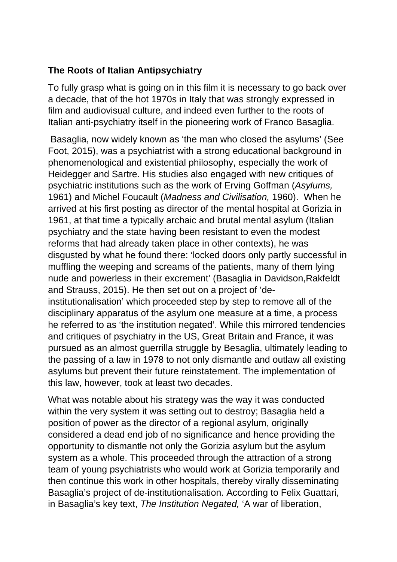# **The Roots of Italian Antipsychiatry**

To fully grasp what is going on in this film it is necessary to go back over a decade, that of the hot 1970s in Italy that was strongly expressed in film and audiovisual culture, and indeed even further to the roots of Italian anti-psychiatry itself in the pioneering work of Franco Basaglia.

 Basaglia, now widely known as 'the man who closed the asylums' (See Foot, 2015), was a psychiatrist with a strong educational background in phenomenological and existential philosophy, especially the work of Heidegger and Sartre. His studies also engaged with new critiques of psychiatric institutions such as the work of Erving Goffman (*Asylums,*  1961) and Michel Foucault (*Madness and Civilisation,* 1960). When he arrived at his first posting as director of the mental hospital at Gorizia in 1961, at that time a typically archaic and brutal mental asylum (Italian psychiatry and the state having been resistant to even the modest reforms that had already taken place in other contexts), he was disgusted by what he found there: 'locked doors only partly successful in muffling the weeping and screams of the patients, many of them lying nude and powerless in their excrement' (Basaglia in Davidson,Rakfeldt and Strauss, 2015). He then set out on a project of 'deinstitutionalisation' which proceeded step by step to remove all of the disciplinary apparatus of the asylum one measure at a time, a process he referred to as 'the institution negated'. While this mirrored tendencies and critiques of psychiatry in the US, Great Britain and France, it was pursued as an almost guerrilla struggle by Besaglia, ultimately leading to the passing of a law in 1978 to not only dismantle and outlaw all existing asylums but prevent their future reinstatement. The implementation of this law, however, took at least two decades.

What was notable about his strategy was the way it was conducted within the very system it was setting out to destroy; Basaglia held a position of power as the director of a regional asylum, originally considered a dead end job of no significance and hence providing the opportunity to dismantle not only the Gorizia asylum but the asylum system as a whole. This proceeded through the attraction of a strong team of young psychiatrists who would work at Gorizia temporarily and then continue this work in other hospitals, thereby virally disseminating Basaglia's project of de-institutionalisation. According to Felix Guattari, in Basaglia's key text, *The Institution Negated,* 'A war of liberation,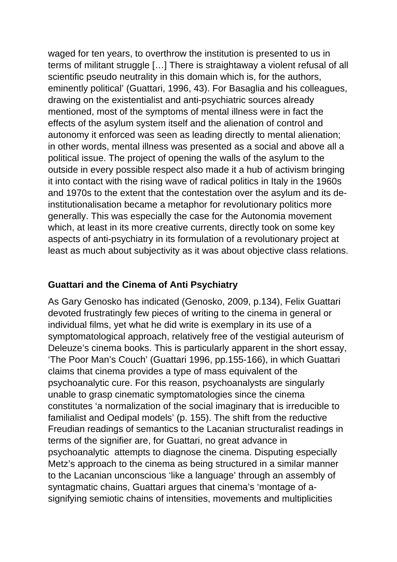waged for ten years, to overthrow the institution is presented to us in terms of militant struggle […] There is straightaway a violent refusal of all scientific pseudo neutrality in this domain which is, for the authors, eminently political' (Guattari, 1996, 43). For Basaglia and his colleagues, drawing on the existentialist and anti-psychiatric sources already mentioned, most of the symptoms of mental illness were in fact the effects of the asylum system itself and the alienation of control and autonomy it enforced was seen as leading directly to mental alienation; in other words, mental illness was presented as a social and above all a political issue. The project of opening the walls of the asylum to the outside in every possible respect also made it a hub of activism bringing it into contact with the rising wave of radical politics in Italy in the 1960s and 1970s to the extent that the contestation over the asylum and its deinstitutionalisation became a metaphor for revolutionary politics more generally. This was especially the case for the Autonomia movement which, at least in its more creative currents, directly took on some key aspects of anti-psychiatry in its formulation of a revolutionary project at least as much about subjectivity as it was about objective class relations.

# **Guattari and the Cinema of Anti Psychiatry**

As Gary Genosko has indicated (Genosko, 2009, p.134), Felix Guattari devoted frustratingly few pieces of writing to the cinema in general or individual films, yet what he did write is exemplary in its use of a symptomatological approach, relatively free of the vestigial auteurism of Deleuze's cinema books. This is particularly apparent in the short essay, 'The Poor Man's Couch' (Guattari 1996, pp.155-166), in which Guattari claims that cinema provides a type of mass equivalent of the psychoanalytic cure. For this reason, psychoanalysts are singularly unable to grasp cinematic symptomatologies since the cinema constitutes 'a normalization of the social imaginary that is irreducible to familialist and Oedipal models' (p. 155). The shift from the reductive Freudian readings of semantics to the Lacanian structuralist readings in terms of the signifier are, for Guattari, no great advance in psychoanalytic attempts to diagnose the cinema. Disputing especially Metz's approach to the cinema as being structured in a similar manner to the Lacanian unconscious 'like a language' through an assembly of syntagmatic chains, Guattari argues that cinema's 'montage of asignifying semiotic chains of intensities, movements and multiplicities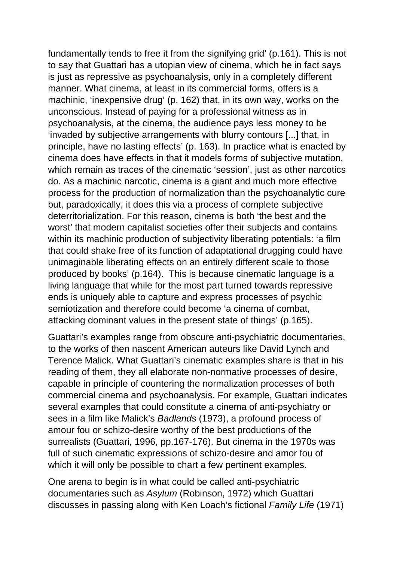fundamentally tends to free it from the signifying grid' (p.161). This is not to say that Guattari has a utopian view of cinema, which he in fact says is just as repressive as psychoanalysis, only in a completely different manner. What cinema, at least in its commercial forms, offers is a machinic, 'inexpensive drug' (p. 162) that, in its own way, works on the unconscious. Instead of paying for a professional witness as in psychoanalysis, at the cinema, the audience pays less money to be 'invaded by subjective arrangements with blurry contours [...] that, in principle, have no lasting effects' (p. 163). In practice what is enacted by cinema does have effects in that it models forms of subjective mutation, which remain as traces of the cinematic 'session', just as other narcotics do. As a machinic narcotic, cinema is a giant and much more effective process for the production of normalization than the psychoanalytic cure but, paradoxically, it does this via a process of complete subjective deterritorialization. For this reason, cinema is both 'the best and the worst' that modern capitalist societies offer their subjects and contains within its machinic production of subjectivity liberating potentials: 'a film that could shake free of its function of adaptational drugging could have unimaginable liberating effects on an entirely different scale to those produced by books' (p.164). This is because cinematic language is a living language that while for the most part turned towards repressive ends is uniquely able to capture and express processes of psychic semiotization and therefore could become 'a cinema of combat, attacking dominant values in the present state of things' (p.165).

Guattari's examples range from obscure anti-psychiatric documentaries, to the works of then nascent American auteurs like David Lynch and Terence Malick. What Guattari's cinematic examples share is that in his reading of them, they all elaborate non-normative processes of desire, capable in principle of countering the normalization processes of both commercial cinema and psychoanalysis. For example, Guattari indicates several examples that could constitute a cinema of anti-psychiatry or sees in a film like Malick's *Badlands* (1973), a profound process of amour fou or schizo-desire worthy of the best productions of the surrealists (Guattari, 1996, pp.167-176). But cinema in the 1970s was full of such cinematic expressions of schizo-desire and amor fou of which it will only be possible to chart a few pertinent examples.

One arena to begin is in what could be called anti-psychiatric documentaries such as *Asylum* (Robinson, 1972) which Guattari discusses in passing along with Ken Loach's fictional *Family Life* (1971)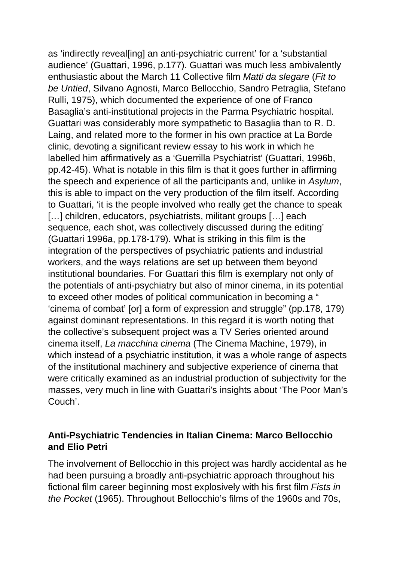as 'indirectly reveal[ing] an anti-psychiatric current' for a 'substantial audience' (Guattari, 1996, p.177). Guattari was much less ambivalently enthusiastic about the March 11 Collective film *Matti da slegare* (*Fit to be Untied*, Silvano Agnosti, Marco Bellocchio, Sandro Petraglia, Stefano Rulli, 1975), which documented the experience of one of Franco Basaglia's anti-institutional projects in the Parma Psychiatric hospital. Guattari was considerably more sympathetic to Basaglia than to R. D. Laing, and related more to the former in his own practice at La Borde clinic, devoting a significant review essay to his work in which he labelled him affirmatively as a 'Guerrilla Psychiatrist' (Guattari, 1996b, pp.42-45). What is notable in this film is that it goes further in affirming the speech and experience of all the participants and, unlike in *Asylum*, this is able to impact on the very production of the film itself. According to Guattari, 'it is the people involved who really get the chance to speak [...] children, educators, psychiatrists, militant groups [...] each sequence, each shot, was collectively discussed during the editing' (Guattari 1996a, pp.178-179). What is striking in this film is the integration of the perspectives of psychiatric patients and industrial workers, and the ways relations are set up between them beyond institutional boundaries. For Guattari this film is exemplary not only of the potentials of anti-psychiatry but also of minor cinema, in its potential to exceed other modes of political communication in becoming a " 'cinema of combat' [or] a form of expression and struggle" (pp.178, 179) against dominant representations. In this regard it is worth noting that the collective's subsequent project was a TV Series oriented around cinema itself, *La macchina cinema* (The Cinema Machine, 1979), in which instead of a psychiatric institution, it was a whole range of aspects of the institutional machinery and subjective experience of cinema that were critically examined as an industrial production of subjectivity for the masses, very much in line with Guattari's insights about 'The Poor Man's Couch'.

# **Anti-Psychiatric Tendencies in Italian Cinema: Marco Bellocchio and Elio Petri**

The involvement of Bellocchio in this project was hardly accidental as he had been pursuing a broadly anti-psychiatric approach throughout his fictional film career beginning most explosively with his first film *Fists in the Pocket* (1965). Throughout Bellocchio's films of the 1960s and 70s,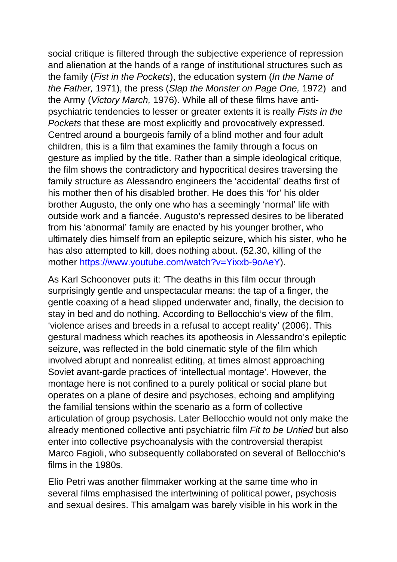social critique is filtered through the subjective experience of repression and alienation at the hands of a range of institutional structures such as the family (*Fist in the Pockets*), the education system (*In the Name of the Father,* 1971), the press (*Slap the Monster on Page One,* 1972) and the Army (*Victory March,* 1976). While all of these films have antipsychiatric tendencies to lesser or greater extents it is really *Fists in the Pockets* that these are most explicitly and provocatively expressed. Centred around a bourgeois family of a blind mother and four adult children, this is a film that examines the family through a focus on gesture as implied by the title. Rather than a simple ideological critique, the film shows the contradictory and hypocritical desires traversing the family structure as Alessandro engineers the 'accidental' deaths first of his mother then of his disabled brother. He does this 'for' his older brother Augusto, the only one who has a seemingly 'normal' life with outside work and a fiancée. Augusto's repressed desires to be liberated from his 'abnormal' family are enacted by his younger brother, who ultimately dies himself from an epileptic seizure, which his sister, who he has also attempted to kill, does nothing about. (52.30, killing of the mother<https://www.youtube.com/watch?v=Yixxb-9oAeY>).

As Karl Schoonover puts it: 'The deaths in this film occur through surprisingly gentle and unspectacular means: the tap of a finger, the gentle coaxing of a head slipped underwater and, finally, the decision to stay in bed and do nothing. According to Bellocchio's view of the film, 'violence arises and breeds in a refusal to accept reality' (2006). This gestural madness which reaches its apotheosis in Alessandro's epileptic seizure, was reflected in the bold cinematic style of the film which involved abrupt and nonrealist editing, at times almost approaching Soviet avant-garde practices of 'intellectual montage'. However, the montage here is not confined to a purely political or social plane but operates on a plane of desire and psychoses, echoing and amplifying the familial tensions within the scenario as a form of collective articulation of group psychosis. Later Bellocchio would not only make the already mentioned collective anti psychiatric film *Fit to be Untied* but also enter into collective psychoanalysis with the controversial therapist Marco Fagioli, who subsequently collaborated on several of Bellocchio's films in the 1980s.

Elio Petri was another filmmaker working at the same time who in several films emphasised the intertwining of political power, psychosis and sexual desires. This amalgam was barely visible in his work in the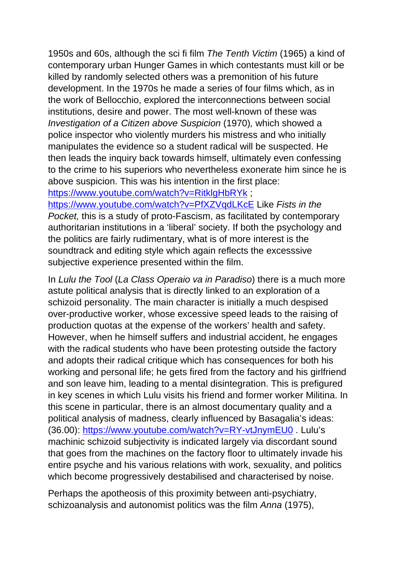1950s and 60s, although the sci fi film *The Tenth Victim* (1965) a kind of contemporary urban Hunger Games in which contestants must kill or be killed by randomly selected others was a premonition of his future development. In the 1970s he made a series of four films which, as in the work of Bellocchio, explored the interconnections between social institutions, desire and power. The most well-known of these was *Investigation of a Citizen above Suspicion* (1970)*,* which showed a police inspector who violently murders his mistress and who initially manipulates the evidence so a student radical will be suspected. He then leads the inquiry back towards himself, ultimately even confessing to the crime to his superiors who nevertheless exonerate him since he is above suspicion. This was his intention in the first place:

<https://www.youtube.com/watch?v=RitklgHbRYk>

<https://www.youtube.com/watch?v=PfXZVqdLKcE> Like *Fists in the Pocket,* this is a study of proto-Fascism, as facilitated by contemporary authoritarian institutions in a 'liberal' society. If both the psychology and the politics are fairly rudimentary, what is of more interest is the soundtrack and editing style which again reflects the excesssive subjective experience presented within the film.

In *Lulu the Tool* (*La Class Operaio va in Paradiso*) there is a much more astute political analysis that is directly linked to an exploration of a schizoid personality. The main character is initially a much despised over-productive worker, whose excessive speed leads to the raising of production quotas at the expense of the workers' health and safety. However, when he himself suffers and industrial accident, he engages with the radical students who have been protesting outside the factory and adopts their radical critique which has consequences for both his working and personal life; he gets fired from the factory and his girlfriend and son leave him, leading to a mental disintegration. This is prefigured in key scenes in which Lulu visits his friend and former worker Militina. In this scene in particular, there is an almost documentary quality and a political analysis of madness, clearly influenced by Basagalia's ideas: (36.00):<https://www.youtube.com/watch?v=RY-vtJnymEU0>. Lulu's machinic schizoid subjectivity is indicated largely via discordant sound that goes from the machines on the factory floor to ultimately invade his entire psyche and his various relations with work, sexuality, and politics which become progressively destabilised and characterised by noise.

Perhaps the apotheosis of this proximity between anti-psychiatry, schizoanalysis and autonomist politics was the film *Anna* (1975),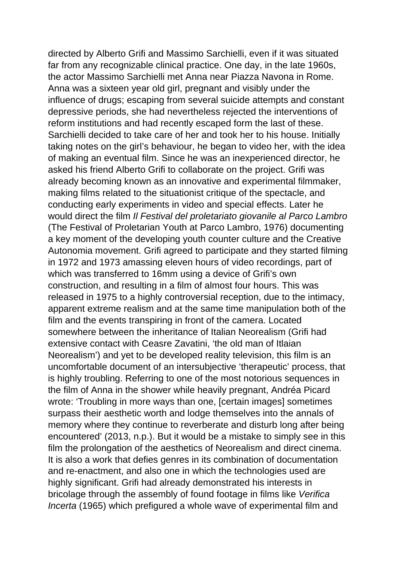directed by Alberto Grifi and Massimo Sarchielli, even if it was situated far from any recognizable clinical practice. One day, in the late 1960s, the actor Massimo Sarchielli met Anna near Piazza Navona in Rome. Anna was a sixteen year old girl, pregnant and visibly under the influence of drugs; escaping from several suicide attempts and constant depressive periods, she had nevertheless rejected the interventions of reform institutions and had recently escaped form the last of these. Sarchielli decided to take care of her and took her to his house. Initially taking notes on the girl's behaviour, he began to video her, with the idea of making an eventual film. Since he was an inexperienced director, he asked his friend Alberto Grifi to collaborate on the project. Grifi was already becoming known as an innovative and experimental filmmaker, making films related to the situationist critique of the spectacle, and conducting early experiments in video and special effects. Later he would direct the film *Il Festival del proletariato giovanile al Parco Lambro* (The Festival of Proletarian Youth at Parco Lambro, 1976) documenting a key moment of the developing youth counter culture and the Creative Autonomia movement. Grifi agreed to participate and they started filming in 1972 and 1973 amassing eleven hours of video recordings, part of which was transferred to 16mm using a device of Grifi's own construction, and resulting in a film of almost four hours. This was released in 1975 to a highly controversial reception, due to the intimacy, apparent extreme realism and at the same time manipulation both of the film and the events transpiring in front of the camera. Located somewhere between the inheritance of Italian Neorealism (Grifi had extensive contact with Ceasre Zavatini, 'the old man of Itlaian Neorealism') and yet to be developed reality television, this film is an uncomfortable document of an intersubjective 'therapeutic' process, that is highly troubling. Referring to one of the most notorious sequences in the film of Anna in the shower while heavily pregnant, Andréa Picard wrote: 'Troubling in more ways than one, [certain images] sometimes surpass their aesthetic worth and lodge themselves into the annals of memory where they continue to reverberate and disturb long after being encountered' (2013, n.p.). But it would be a mistake to simply see in this film the prolongation of the aesthetics of Neorealism and direct cinema. It is also a work that defies genres in its combination of documentation and re-enactment, and also one in which the technologies used are highly significant. Grifi had already demonstrated his interests in bricolage through the assembly of found footage in films like *Verifica Incerta* (1965) which prefigured a whole wave of experimental film and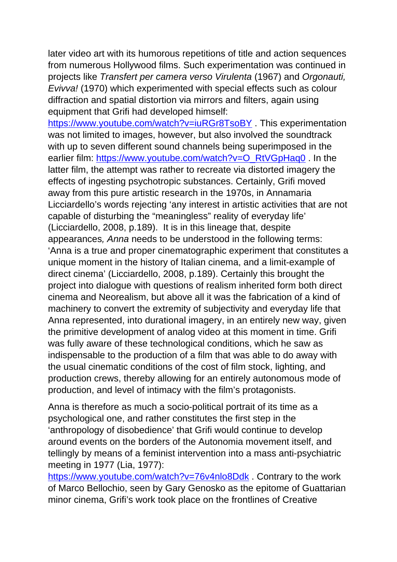later video art with its humorous repetitions of title and action sequences from numerous Hollywood films. Such experimentation was continued in projects like *Transfert per camera verso Virulenta* (1967) and *Orgonauti, Evivva!* (1970) which experimented with special effects such as colour diffraction and spatial distortion via mirrors and filters, again using equipment that Grifi had developed himself:

<https://www.youtube.com/watch?v=iuRGr8TsoBY> . This experimentation was not limited to images, however, but also involved the soundtrack with up to seven different sound channels being superimposed in the earlier film: [https://www.youtube.com/watch?v=O\\_RtVGpHaq0](https://www.youtube.com/watch?v=O_RtVGpHaq0) . In the latter film, the attempt was rather to recreate via distorted imagery the effects of ingesting psychotropic substances. Certainly, Grifi moved away from this pure artistic research in the 1970s, in Annamaria Licciardello's words rejecting 'any interest in artistic activities that are not capable of disturbing the "meaningless" reality of everyday life' (Licciardello, 2008, p.189). It is in this lineage that, despite appearances*, Anna* needs to be understood in the following terms: 'Anna is a true and proper cinematographic experiment that constitutes a unique moment in the history of Italian cinema, and a limit-example of direct cinema' (Licciardello, 2008, p.189). Certainly this brought the project into dialogue with questions of realism inherited form both direct cinema and Neorealism, but above all it was the fabrication of a kind of machinery to convert the extremity of subjectivity and everyday life that Anna represented, into durational imagery, in an entirely new way, given the primitive development of analog video at this moment in time. Grifi was fully aware of these technological conditions, which he saw as indispensable to the production of a film that was able to do away with the usual cinematic conditions of the cost of film stock, lighting, and production crews, thereby allowing for an entirely autonomous mode of production, and level of intimacy with the film's protagonists.

Anna is therefore as much a socio-political portrait of its time as a psychological one, and rather constitutes the first step in the 'anthropology of disobedience' that Grifi would continue to develop around events on the borders of the Autonomia movement itself, and tellingly by means of a feminist intervention into a mass anti-psychiatric meeting in 1977 (Lia, 1977):

<https://www.youtube.com/watch?v=76v4nlo8Ddk>. Contrary to the work of Marco Bellochio, seen by Gary Genosko as the epitome of Guattarian minor cinema, Grifi's work took place on the frontlines of Creative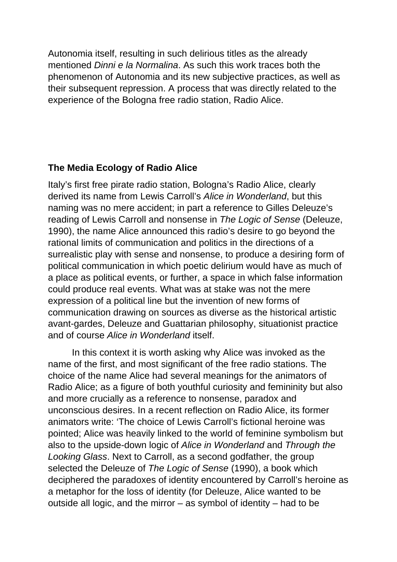Autonomia itself, resulting in such delirious titles as the already mentioned *Dinni e la Normalina*. As such this work traces both the phenomenon of Autonomia and its new subjective practices, as well as their subsequent repression. A process that was directly related to the experience of the Bologna free radio station, Radio Alice.

#### **The Media Ecology of Radio Alice**

Italy's first free pirate radio station, Bologna's Radio Alice, clearly derived its name from Lewis Carroll's *Alice in Wonderland*, but this naming was no mere accident; in part a reference to Gilles Deleuze's reading of Lewis Carroll and nonsense in *The Logic of Sense* (Deleuze, 1990), the name Alice announced this radio's desire to go beyond the rational limits of communication and politics in the directions of a surrealistic play with sense and nonsense, to produce a desiring form of political communication in which poetic delirium would have as much of a place as political events, or further, a space in which false information could produce real events. What was at stake was not the mere expression of a political line but the invention of new forms of communication drawing on sources as diverse as the historical artistic avant-gardes, Deleuze and Guattarian philosophy, situationist practice and of course *Alice in Wonderland* itself.

In this context it is worth asking why Alice was invoked as the name of the first, and most significant of the free radio stations. The choice of the name Alice had several meanings for the animators of Radio Alice; as a figure of both youthful curiosity and femininity but also and more crucially as a reference to nonsense, paradox and unconscious desires. In a recent reflection on Radio Alice, its former animators write: 'The choice of Lewis Carroll's fictional heroine was pointed; Alice was heavily linked to the world of feminine symbolism but also to the upside-down logic of *Alice in Wonderland* and *Through the Looking Glass*. Next to Carroll, as a second godfather, the group selected the Deleuze of *The Logic of Sense* (1990), a book which deciphered the paradoxes of identity encountered by Carroll's heroine as a metaphor for the loss of identity (for Deleuze, Alice wanted to be outside all logic, and the mirror – as symbol of identity – had to be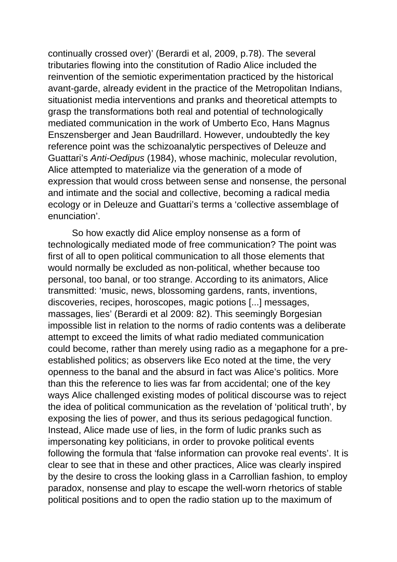continually crossed over)' (Berardi et al, 2009, p.78). The several tributaries flowing into the constitution of Radio Alice included the reinvention of the semiotic experimentation practiced by the historical avant-garde, already evident in the practice of the Metropolitan Indians, situationist media interventions and pranks and theoretical attempts to grasp the transformations both real and potential of technologically mediated communication in the work of Umberto Eco, Hans Magnus Enszensberger and Jean Baudrillard. However, undoubtedly the key reference point was the schizoanalytic perspectives of Deleuze and Guattari's *Anti-Oedipus* (1984), whose machinic, molecular revolution, Alice attempted to materialize via the generation of a mode of expression that would cross between sense and nonsense, the personal and intimate and the social and collective, becoming a radical media ecology or in Deleuze and Guattari's terms a 'collective assemblage of enunciation'.

So how exactly did Alice employ nonsense as a form of technologically mediated mode of free communication? The point was first of all to open political communication to all those elements that would normally be excluded as non-political, whether because too personal, too banal, or too strange. According to its animators, Alice transmitted: 'music, news, blossoming gardens, rants, inventions, discoveries, recipes, horoscopes, magic potions [...] messages, massages, lies' (Berardi et al 2009: 82). This seemingly Borgesian impossible list in relation to the norms of radio contents was a deliberate attempt to exceed the limits of what radio mediated communication could become, rather than merely using radio as a megaphone for a preestablished politics; as observers like Eco noted at the time, the very openness to the banal and the absurd in fact was Alice's politics. More than this the reference to lies was far from accidental; one of the key ways Alice challenged existing modes of political discourse was to reject the idea of political communication as the revelation of 'political truth', by exposing the lies of power, and thus its serious pedagogical function. Instead, Alice made use of lies, in the form of ludic pranks such as impersonating key politicians, in order to provoke political events following the formula that 'false information can provoke real events'. It is clear to see that in these and other practices, Alice was clearly inspired by the desire to cross the looking glass in a Carrollian fashion, to employ paradox, nonsense and play to escape the well-worn rhetorics of stable political positions and to open the radio station up to the maximum of